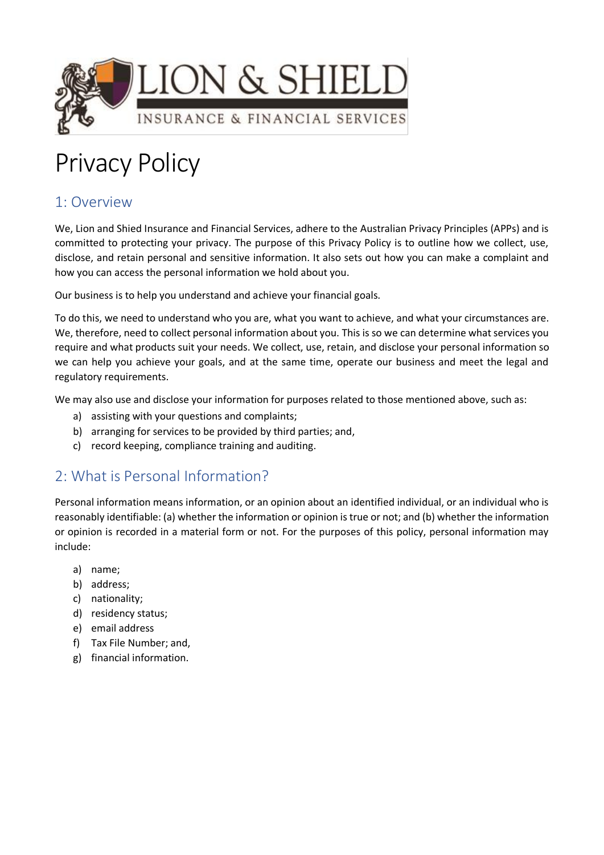

# Privacy Policy

# 1: Overview

We, Lion and Shied Insurance and Financial Services, adhere to the Australian Privacy Principles (APPs) and is committed to protecting your privacy. The purpose of this Privacy Policy is to outline how we collect, use, disclose, and retain personal and sensitive information. It also sets out how you can make a complaint and how you can access the personal information we hold about you.

Our business is to help you understand and achieve your financial goals.

To do this, we need to understand who you are, what you want to achieve, and what your circumstances are. We, therefore, need to collect personal information about you. This is so we can determine what services you require and what products suit your needs. We collect, use, retain, and disclose your personal information so we can help you achieve your goals, and at the same time, operate our business and meet the legal and regulatory requirements.

We may also use and disclose your information for purposes related to those mentioned above, such as:

- a) assisting with your questions and complaints;
- b) arranging for services to be provided by third parties; and,
- c) record keeping, compliance training and auditing.

# 2: What is Personal Information?

Personal information means information, or an opinion about an identified individual, or an individual who is reasonably identifiable: (a) whether the information or opinion is true or not; and (b) whether the information or opinion is recorded in a material form or not. For the purposes of this policy, personal information may include:

- a) name;
- b) address;
- c) nationality;
- d) residency status;
- e) email address
- f) Tax File Number; and,
- g) financial information.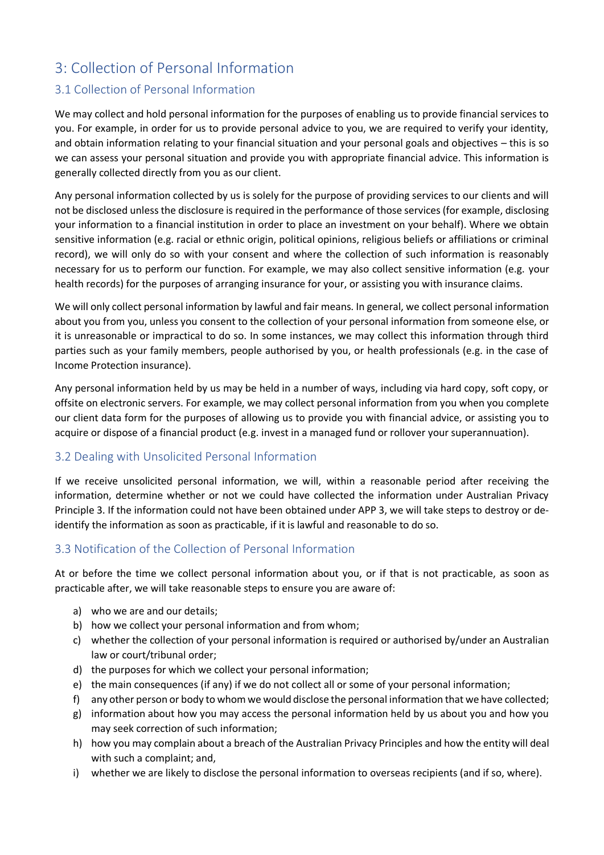# 3: Collection of Personal Information

#### 3.1 Collection of Personal Information

We may collect and hold personal information for the purposes of enabling us to provide financial services to you. For example, in order for us to provide personal advice to you, we are required to verify your identity, and obtain information relating to your financial situation and your personal goals and objectives – this is so we can assess your personal situation and provide you with appropriate financial advice. This information is generally collected directly from you as our client.

Any personal information collected by us is solely for the purpose of providing services to our clients and will not be disclosed unless the disclosure is required in the performance of those services (for example, disclosing your information to a financial institution in order to place an investment on your behalf). Where we obtain sensitive information (e.g. racial or ethnic origin, political opinions, religious beliefs or affiliations or criminal record), we will only do so with your consent and where the collection of such information is reasonably necessary for us to perform our function. For example, we may also collect sensitive information (e.g. your health records) for the purposes of arranging insurance for your, or assisting you with insurance claims.

We will only collect personal information by lawful and fair means. In general, we collect personal information about you from you, unless you consent to the collection of your personal information from someone else, or it is unreasonable or impractical to do so. In some instances, we may collect this information through third parties such as your family members, people authorised by you, or health professionals (e.g. in the case of Income Protection insurance).

Any personal information held by us may be held in a number of ways, including via hard copy, soft copy, or offsite on electronic servers. For example, we may collect personal information from you when you complete our client data form for the purposes of allowing us to provide you with financial advice, or assisting you to acquire or dispose of a financial product (e.g. invest in a managed fund or rollover your superannuation).

#### 3.2 Dealing with Unsolicited Personal Information

If we receive unsolicited personal information, we will, within a reasonable period after receiving the information, determine whether or not we could have collected the information under Australian Privacy Principle 3. If the information could not have been obtained under APP 3, we will take steps to destroy or deidentify the information as soon as practicable, if it is lawful and reasonable to do so.

#### 3.3 Notification of the Collection of Personal Information

At or before the time we collect personal information about you, or if that is not practicable, as soon as practicable after, we will take reasonable steps to ensure you are aware of:

- a) who we are and our details;
- b) how we collect your personal information and from whom;
- c) whether the collection of your personal information is required or authorised by/under an Australian law or court/tribunal order;
- d) the purposes for which we collect your personal information;
- e) the main consequences (if any) if we do not collect all or some of your personal information;
- f) any other person or body to whom we would disclose the personal information that we have collected;
- g) information about how you may access the personal information held by us about you and how you may seek correction of such information;
- h) how you may complain about a breach of the Australian Privacy Principles and how the entity will deal with such a complaint; and,
- i) whether we are likely to disclose the personal information to overseas recipients (and if so, where).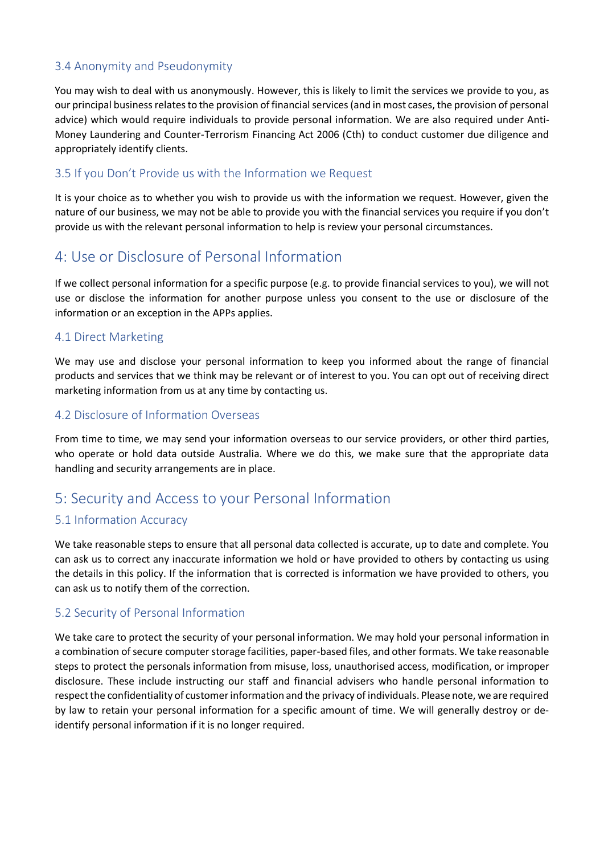## 3.4 Anonymity and Pseudonymity

You may wish to deal with us anonymously. However, this is likely to limit the services we provide to you, as our principal business relates to the provision of financial services (and in most cases, the provision of personal advice) which would require individuals to provide personal information. We are also required under Anti-Money Laundering and Counter-Terrorism Financing Act 2006 (Cth) to conduct customer due diligence and appropriately identify clients.

#### 3.5 If you Don't Provide us with the Information we Request

It is your choice as to whether you wish to provide us with the information we request. However, given the nature of our business, we may not be able to provide you with the financial services you require if you don't provide us with the relevant personal information to help is review your personal circumstances.

# 4: Use or Disclosure of Personal Information

If we collect personal information for a specific purpose (e.g. to provide financial services to you), we will not use or disclose the information for another purpose unless you consent to the use or disclosure of the information or an exception in the APPs applies.

#### 4.1 Direct Marketing

We may use and disclose your personal information to keep you informed about the range of financial products and services that we think may be relevant or of interest to you. You can opt out of receiving direct marketing information from us at any time by contacting us.

#### 4.2 Disclosure of Information Overseas

From time to time, we may send your information overseas to our service providers, or other third parties, who operate or hold data outside Australia. Where we do this, we make sure that the appropriate data handling and security arrangements are in place.

## 5: Security and Access to your Personal Information

### 5.1 Information Accuracy

We take reasonable steps to ensure that all personal data collected is accurate, up to date and complete. You can ask us to correct any inaccurate information we hold or have provided to others by contacting us using the details in this policy. If the information that is corrected is information we have provided to others, you can ask us to notify them of the correction.

#### 5.2 Security of Personal Information

We take care to protect the security of your personal information. We may hold your personal information in a combination of secure computer storage facilities, paper-based files, and other formats. We take reasonable steps to protect the personals information from misuse, loss, unauthorised access, modification, or improper disclosure. These include instructing our staff and financial advisers who handle personal information to respect the confidentiality of customer information and the privacy of individuals. Please note, we are required by law to retain your personal information for a specific amount of time. We will generally destroy or deidentify personal information if it is no longer required.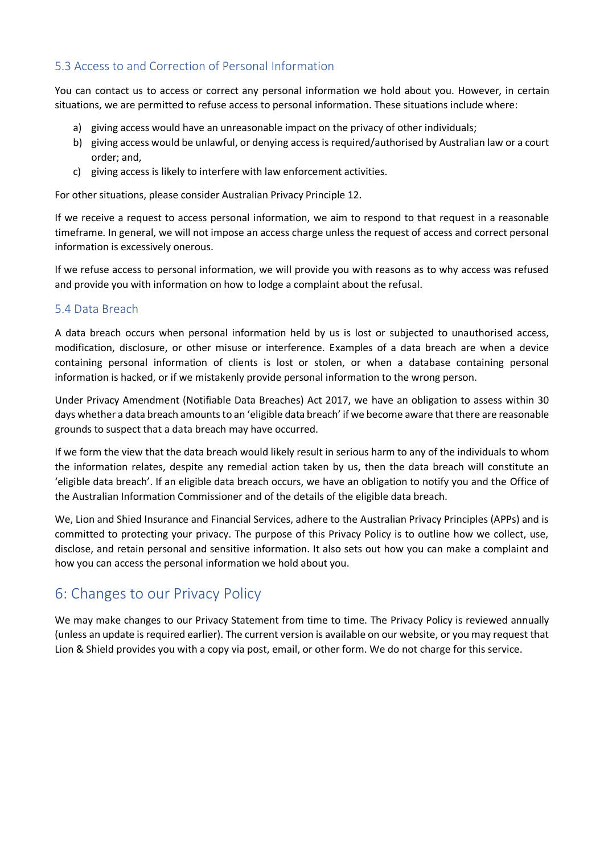## 5.3 Access to and Correction of Personal Information

You can contact us to access or correct any personal information we hold about you. However, in certain situations, we are permitted to refuse access to personal information. These situations include where:

- a) giving access would have an unreasonable impact on the privacy of other individuals;
- b) giving access would be unlawful, or denying access is required/authorised by Australian law or a court order; and,
- c) giving access is likely to interfere with law enforcement activities.

For other situations, please consider Australian Privacy Principle 12.

If we receive a request to access personal information, we aim to respond to that request in a reasonable timeframe. In general, we will not impose an access charge unless the request of access and correct personal information is excessively onerous.

If we refuse access to personal information, we will provide you with reasons as to why access was refused and provide you with information on how to lodge a complaint about the refusal.

#### 5.4 Data Breach

A data breach occurs when personal information held by us is lost or subjected to unauthorised access, modification, disclosure, or other misuse or interference. Examples of a data breach are when a device containing personal information of clients is lost or stolen, or when a database containing personal information is hacked, or if we mistakenly provide personal information to the wrong person.

Under Privacy Amendment (Notifiable Data Breaches) Act 2017, we have an obligation to assess within 30 days whether a data breach amounts to an 'eligible data breach' if we become aware that there are reasonable grounds to suspect that a data breach may have occurred.

If we form the view that the data breach would likely result in serious harm to any of the individuals to whom the information relates, despite any remedial action taken by us, then the data breach will constitute an 'eligible data breach'. If an eligible data breach occurs, we have an obligation to notify you and the Office of the Australian Information Commissioner and of the details of the eligible data breach.

We, Lion and Shied Insurance and Financial Services, adhere to the Australian Privacy Principles (APPs) and is committed to protecting your privacy. The purpose of this Privacy Policy is to outline how we collect, use, disclose, and retain personal and sensitive information. It also sets out how you can make a complaint and how you can access the personal information we hold about you.

# 6: Changes to our Privacy Policy

We may make changes to our Privacy Statement from time to time. The Privacy Policy is reviewed annually (unless an update is required earlier). The current version is available on our website, or you may request that Lion & Shield provides you with a copy via post, email, or other form. We do not charge for this service.